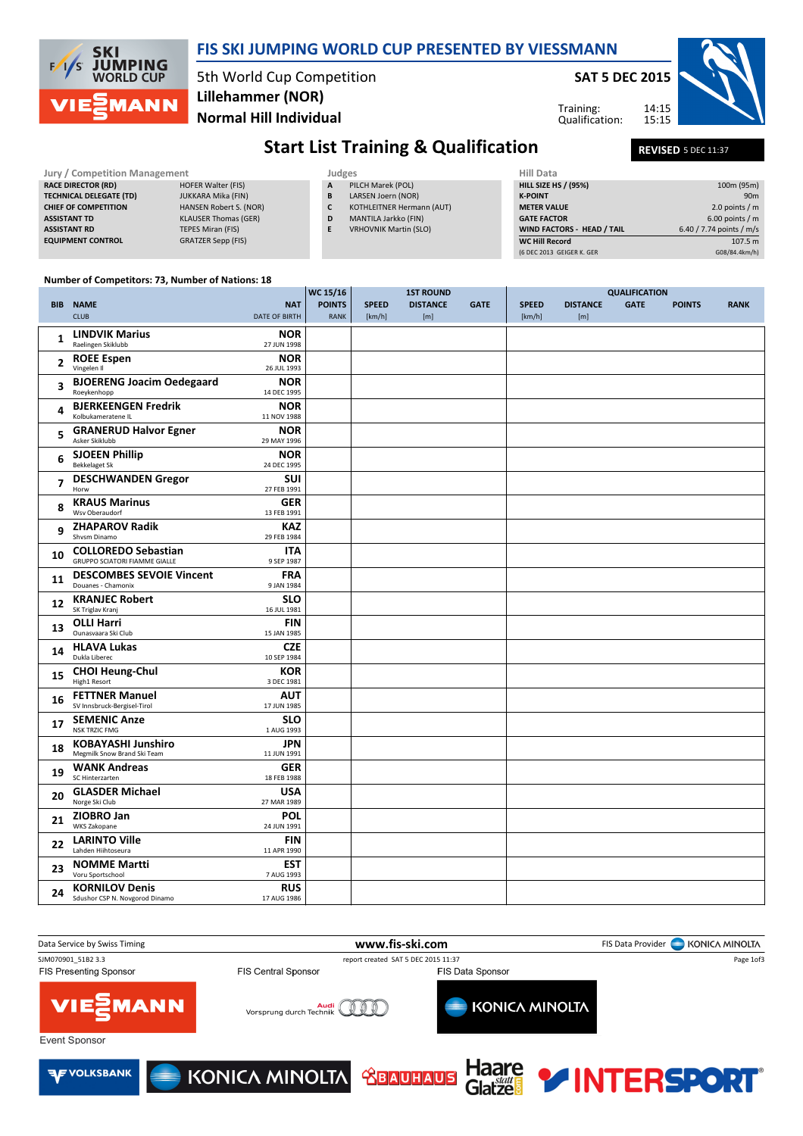

### FIS SKI JUMPING WORLD CUP PRESENTED BY VIESSMANN

5th World Cup Competition Normal Hill Individual Lillehammer (NOR)

SAT 5 DEC 2015

Training: Qualification: 14:15 15:15



# Start List Training & Qualification REVISED 5 DEC 11:37

| Jury / Competition Management |                                |                               |   | Judges                       | Hill Data                         |                          |  |  |
|-------------------------------|--------------------------------|-------------------------------|---|------------------------------|-----------------------------------|--------------------------|--|--|
|                               | <b>RACE DIRECTOR (RD)</b>      | <b>HOFER Walter (FIS)</b>     | A | PILCH Marek (POL)            | <b>HILL SIZE HS / (95%)</b>       | 100m (95m)               |  |  |
|                               | <b>TECHNICAL DELEGATE (TD)</b> | JUKKARA Mika (FIN)            | B | LARSEN Joern (NOR)           | <b>K-POINT</b>                    | 90 <sub>m</sub>          |  |  |
|                               | <b>CHIEF OF COMPETITION</b>    | <b>HANSEN Robert S. (NOR)</b> |   | KOTHLEITNER Hermann (AUT)    | <b>METER VALUE</b>                | 2.0 points / $m$         |  |  |
|                               | <b>ASSISTANT TD</b>            | <b>KLAUSER Thomas (GER)</b>   | D | MANTILA Jarkko (FIN)         | <b>GATE FACTOR</b>                | $6.00$ points / m        |  |  |
|                               | <b>ASSISTANT RD</b>            | TEPES Miran (FIS)             | E | <b>VRHOVNIK Martin (SLO)</b> | <b>WIND FACTORS - HEAD / TAIL</b> | 6.40 / 7.74 points / m/s |  |  |
|                               | <b>EQUIPMENT CONTROL</b>       | <b>GRATZER Sepp (FIS)</b>     |   |                              | <b>WC Hill Record</b>             | 107.5 m                  |  |  |
|                               |                                |                               |   | (6 DEC 2013 GEIGER K, GER    | G08/84.4km/h)                     |                          |  |  |
|                               |                                |                               |   |                              |                                   |                          |  |  |

#### Number of Competitors: 73, Number of Nations: 18

|                          |                                                                    |                             | WC 15/16<br><b>1ST ROUND</b> |                        |                        |             |                        |                        |             |               |             |
|--------------------------|--------------------------------------------------------------------|-----------------------------|------------------------------|------------------------|------------------------|-------------|------------------------|------------------------|-------------|---------------|-------------|
|                          | <b>BIB NAME</b><br><b>CLUB</b>                                     | <b>NAT</b><br>DATE OF BIRTH | <b>POINTS</b><br><b>RANK</b> | <b>SPEED</b><br>[km/h] | <b>DISTANCE</b><br>[m] | <b>GATE</b> | <b>SPEED</b><br>[km/h] | <b>DISTANCE</b><br>[m] | <b>GATE</b> | <b>POINTS</b> | <b>RANK</b> |
| 1                        | <b>LINDVIK Marius</b><br>Raelingen Skiklubb                        | <b>NOR</b><br>27 JUN 1998   |                              |                        |                        |             |                        |                        |             |               |             |
| $\overline{2}$           | <b>ROEE Espen</b><br>Vingelen II                                   | <b>NOR</b><br>26 JUL 1993   |                              |                        |                        |             |                        |                        |             |               |             |
| 3                        | <b>BJOERENG Joacim Oedegaard</b><br>Roeykenhopp                    | NOR<br>14 DEC 1995          |                              |                        |                        |             |                        |                        |             |               |             |
| 4                        | <b>BJERKEENGEN Fredrik</b><br>Kolbukameratene IL                   | <b>NOR</b><br>11 NOV 1988   |                              |                        |                        |             |                        |                        |             |               |             |
| 5                        | <b>GRANERUD Halvor Egner</b><br>Asker Skiklubb                     | NOR<br>29 MAY 1996          |                              |                        |                        |             |                        |                        |             |               |             |
| 6                        | <b>SJOEEN Phillip</b><br><b>Bekkelaget Sk</b>                      | <b>NOR</b><br>24 DEC 1995   |                              |                        |                        |             |                        |                        |             |               |             |
| $\overline{\phantom{a}}$ | <b>DESCHWANDEN Gregor</b><br>Horw                                  | <b>SUI</b><br>27 FEB 1991   |                              |                        |                        |             |                        |                        |             |               |             |
| 8                        | <b>KRAUS Marinus</b><br>Wsv Oberaudorf                             | <b>GER</b><br>13 FEB 1991   |                              |                        |                        |             |                        |                        |             |               |             |
| 9                        | <b>ZHAPAROV Radik</b><br>Shvsm Dinamo                              | <b>KAZ</b><br>29 FEB 1984   |                              |                        |                        |             |                        |                        |             |               |             |
| 10                       | <b>COLLOREDO Sebastian</b><br><b>GRUPPO SCIATORI FIAMME GIALLE</b> | <b>ITA</b><br>9 SEP 1987    |                              |                        |                        |             |                        |                        |             |               |             |
| 11                       | <b>DESCOMBES SEVOIE Vincent</b><br>Douanes - Chamonix              | <b>FRA</b><br>9 JAN 1984    |                              |                        |                        |             |                        |                        |             |               |             |
| 12                       | <b>KRANJEC Robert</b><br>SK Triglav Kranj                          | <b>SLO</b><br>16 JUL 1981   |                              |                        |                        |             |                        |                        |             |               |             |
| 13                       | <b>OLLI Harri</b><br>Ounasvaara Ski Club                           | <b>FIN</b><br>15 JAN 1985   |                              |                        |                        |             |                        |                        |             |               |             |
| 14                       | <b>HLAVA Lukas</b><br>Dukla Liberec                                | <b>CZE</b><br>10 SEP 1984   |                              |                        |                        |             |                        |                        |             |               |             |
| 15                       | <b>CHOI Heung-Chul</b><br>High1 Resort                             | <b>KOR</b><br>3 DEC 1981    |                              |                        |                        |             |                        |                        |             |               |             |
| 16                       | <b>FETTNER Manuel</b><br>SV Innsbruck-Bergisel-Tirol               | <b>AUT</b><br>17 JUN 1985   |                              |                        |                        |             |                        |                        |             |               |             |
| 17                       | <b>SEMENIC Anze</b><br><b>NSK TRZIC FMG</b>                        | <b>SLO</b><br>1 AUG 1993    |                              |                        |                        |             |                        |                        |             |               |             |
| 18                       | <b>KOBAYASHI Junshiro</b><br>Megmilk Snow Brand Ski Team           | <b>JPN</b><br>11 JUN 1991   |                              |                        |                        |             |                        |                        |             |               |             |
| 19                       | <b>WANK Andreas</b><br>SC Hinterzarten                             | <b>GER</b><br>18 FEB 1988   |                              |                        |                        |             |                        |                        |             |               |             |
| 20                       | <b>GLASDER Michael</b><br>Norge Ski Club                           | <b>USA</b><br>27 MAR 1989   |                              |                        |                        |             |                        |                        |             |               |             |
| 21                       | ZIOBRO Jan<br><b>WKS Zakopane</b>                                  | POL<br>24 JUN 1991          |                              |                        |                        |             |                        |                        |             |               |             |
| 22                       | <b>LARINTO Ville</b><br>Lahden Hiihtoseura                         | <b>FIN</b><br>11 APR 1990   |                              |                        |                        |             |                        |                        |             |               |             |
| 23                       | <b>NOMME Martti</b><br>Voru Sportschool                            | <b>EST</b><br>7 AUG 1993    |                              |                        |                        |             |                        |                        |             |               |             |
| 24                       | <b>KORNILOV Denis</b><br>Sdushor CSP N. Novgorod Dinamo            | <b>RUS</b><br>17 AUG 1986   |                              |                        |                        |             |                        |                        |             |               |             |

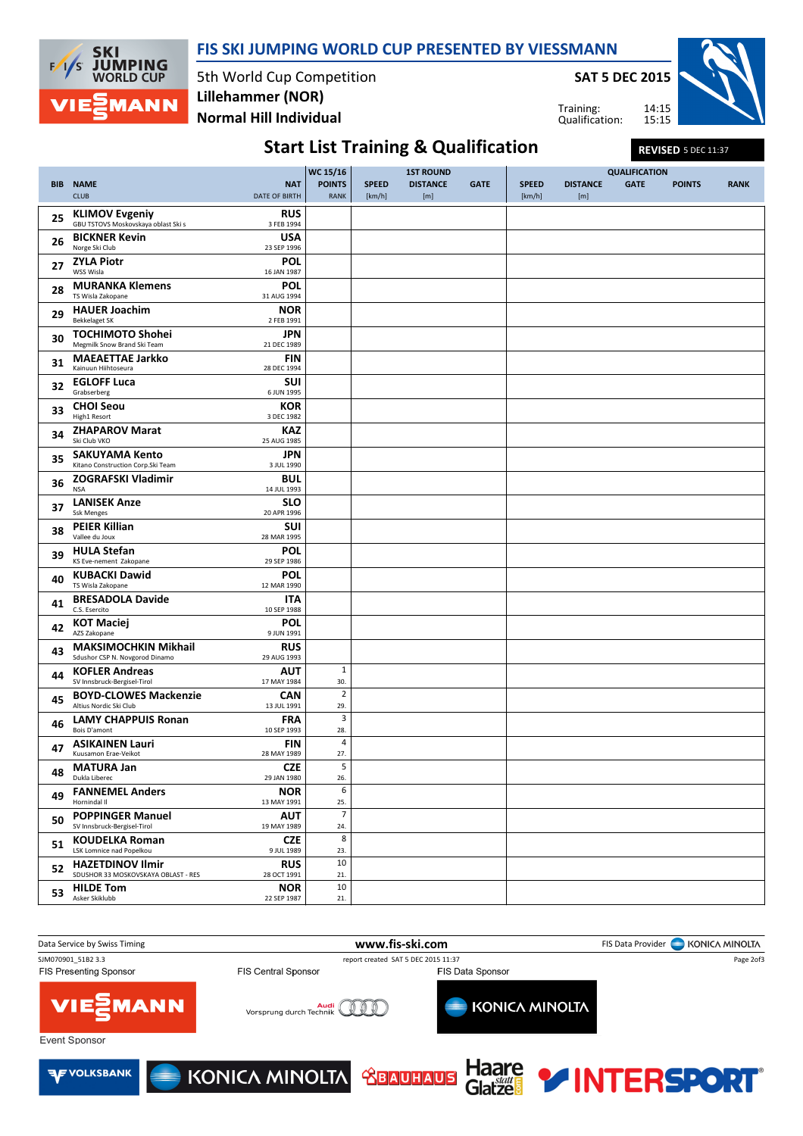

FIS SKI JUMPING WORLD CUP PRESENTED BY VIESSMANN

5th World Cup Competition Normal Hill Individual Lillehammer (NOR)

SAT 5 DEC 2015

Training: Qualification: 14:15 15:15



# Start List Training & Qualification REVISED 5 DEC 11:37

|    |                                                               | WC 15/16<br><b>1ST ROUND</b> |                       |              |                 | <b>QUALIFICATION</b> |              |                 |             |               |             |
|----|---------------------------------------------------------------|------------------------------|-----------------------|--------------|-----------------|----------------------|--------------|-----------------|-------------|---------------|-------------|
|    | <b>BIB NAME</b>                                               | <b>NAT</b>                   | <b>POINTS</b>         | <b>SPEED</b> | <b>DISTANCE</b> | <b>GATE</b>          | <b>SPEED</b> | <b>DISTANCE</b> | <b>GATE</b> | <b>POINTS</b> | <b>RANK</b> |
|    | <b>CLUB</b>                                                   | DATE OF BIRTH                | <b>RANK</b>           | [km/h]       | [m]             |                      | [km/h]       | [m]             |             |               |             |
| 25 | <b>KLIMOV Evgeniy</b>                                         | <b>RUS</b>                   |                       |              |                 |                      |              |                 |             |               |             |
|    | GBU TSTOVS Moskovskaya oblast Ski s<br><b>BICKNER Kevin</b>   | 3 FEB 1994<br><b>USA</b>     |                       |              |                 |                      |              |                 |             |               |             |
| 26 | Norge Ski Club                                                | 23 SEP 1996                  |                       |              |                 |                      |              |                 |             |               |             |
| 27 | <b>ZYLA Piotr</b><br>WSS Wisla                                | <b>POL</b><br>16 JAN 1987    |                       |              |                 |                      |              |                 |             |               |             |
| 28 | <b>MURANKA Klemens</b>                                        | <b>POL</b>                   |                       |              |                 |                      |              |                 |             |               |             |
|    | TS Wisla Zakopane                                             | 31 AUG 1994                  |                       |              |                 |                      |              |                 |             |               |             |
| 29 | <b>HAUER Joachim</b><br><b>Bekkelaget SK</b>                  | <b>NOR</b><br>2 FEB 1991     |                       |              |                 |                      |              |                 |             |               |             |
| 30 | <b>TOCHIMOTO Shohei</b><br>Megmilk Snow Brand Ski Team        | <b>JPN</b><br>21 DEC 1989    |                       |              |                 |                      |              |                 |             |               |             |
| 31 | <b>MAEAETTAE Jarkko</b><br>Kainuun Hiihtoseura                | <b>FIN</b><br>28 DEC 1994    |                       |              |                 |                      |              |                 |             |               |             |
| 32 | <b>EGLOFF Luca</b>                                            | <b>SUI</b>                   |                       |              |                 |                      |              |                 |             |               |             |
|    | Grabserberg<br><b>CHOI Seou</b>                               | 6 JUN 1995<br><b>KOR</b>     |                       |              |                 |                      |              |                 |             |               |             |
| 33 | High1 Resort                                                  | 3 DEC 1982                   |                       |              |                 |                      |              |                 |             |               |             |
| 34 | <b>ZHAPAROV Marat</b><br>Ski Club VKO                         | <b>KAZ</b><br>25 AUG 1985    |                       |              |                 |                      |              |                 |             |               |             |
| 35 | <b>SAKUYAMA Kento</b><br>Kitano Construction Corp. Ski Team   | <b>JPN</b><br>3 JUL 1990     |                       |              |                 |                      |              |                 |             |               |             |
| 36 | <b>ZOGRAFSKI Vladimir</b><br><b>NSA</b>                       | <b>BUL</b><br>14 JUL 1993    |                       |              |                 |                      |              |                 |             |               |             |
| 37 | <b>LANISEK Anze</b><br><b>Ssk Menges</b>                      | <b>SLO</b><br>20 APR 1996    |                       |              |                 |                      |              |                 |             |               |             |
| 38 | <b>PEIER Killian</b><br>Vallee du Joux                        | <b>SUI</b><br>28 MAR 1995    |                       |              |                 |                      |              |                 |             |               |             |
| 39 | <b>HULA Stefan</b><br>KS Eve-nement Zakopane                  | <b>POL</b><br>29 SEP 1986    |                       |              |                 |                      |              |                 |             |               |             |
| 40 | <b>KUBACKI Dawid</b><br>TS Wisla Zakopane                     | POL<br>12 MAR 1990           |                       |              |                 |                      |              |                 |             |               |             |
| 41 | <b>BRESADOLA Davide</b><br>C.S. Esercito                      | <b>ITA</b>                   |                       |              |                 |                      |              |                 |             |               |             |
|    | <b>KOT Maciej</b>                                             | 10 SEP 1988<br><b>POL</b>    |                       |              |                 |                      |              |                 |             |               |             |
| 42 | AZS Zakopane                                                  | 9 JUN 1991                   |                       |              |                 |                      |              |                 |             |               |             |
| 43 | <b>MAKSIMOCHKIN Mikhail</b><br>Sdushor CSP N. Novgorod Dinamo | <b>RUS</b><br>29 AUG 1993    |                       |              |                 |                      |              |                 |             |               |             |
| 44 | <b>KOFLER Andreas</b><br>SV Innsbruck-Bergisel-Tirol          | AUT<br>17 MAY 1984           | $\mathbf{1}$<br>30.   |              |                 |                      |              |                 |             |               |             |
| 45 | <b>BOYD-CLOWES Mackenzie</b><br>Altius Nordic Ski Club        | CAN<br>13 JUL 1991           | $\overline{2}$<br>29. |              |                 |                      |              |                 |             |               |             |
| 46 | <b>LAMY CHAPPUIS Ronan</b><br>Bois D'amont                    | <b>FRA</b><br>10 SEP 1993    | 3<br>28.              |              |                 |                      |              |                 |             |               |             |
| 47 | <b>ASIKAINEN Lauri</b><br>Kuusamon Erae-Veikot                | <b>FIN</b><br>28 MAY 1989    | $\sqrt{4}$<br>27.     |              |                 |                      |              |                 |             |               |             |
| 48 | <b>MATURA Jan</b><br>Dukla Liberec                            | <b>CZE</b><br>29 JAN 1980    | 5<br>26.              |              |                 |                      |              |                 |             |               |             |
| 49 | <b>FANNEMEL Anders</b><br>Hornindal II                        | <b>NOR</b><br>13 MAY 1991    | 6<br>25.              |              |                 |                      |              |                 |             |               |             |
| 50 | <b>POPPINGER Manuel</b><br>SV Innsbruck-Bergisel-Tirol        | <b>AUT</b><br>19 MAY 1989    | $\overline{7}$<br>24. |              |                 |                      |              |                 |             |               |             |
| 51 | <b>KOUDELKA Roman</b><br>LSK Lomnice nad Popelkou             | <b>CZE</b><br>9 JUL 1989     | 8                     |              |                 |                      |              |                 |             |               |             |
|    | <b>HAZETDINOV Ilmir</b>                                       | <b>RUS</b>                   | 23.<br>10             |              |                 |                      |              |                 |             |               |             |
| 52 | SDUSHOR 33 MOSKOVSKAYA OBLAST - RES                           | 28 OCT 1991                  | 21.                   |              |                 |                      |              |                 |             |               |             |
| 53 | <b>HILDE Tom</b><br>Asker Skiklubb                            | <b>NOR</b><br>22 SEP 1987    | 10<br>$21.$           |              |                 |                      |              |                 |             |               |             |
|    |                                                               |                              |                       |              |                 |                      |              |                 |             |               |             |